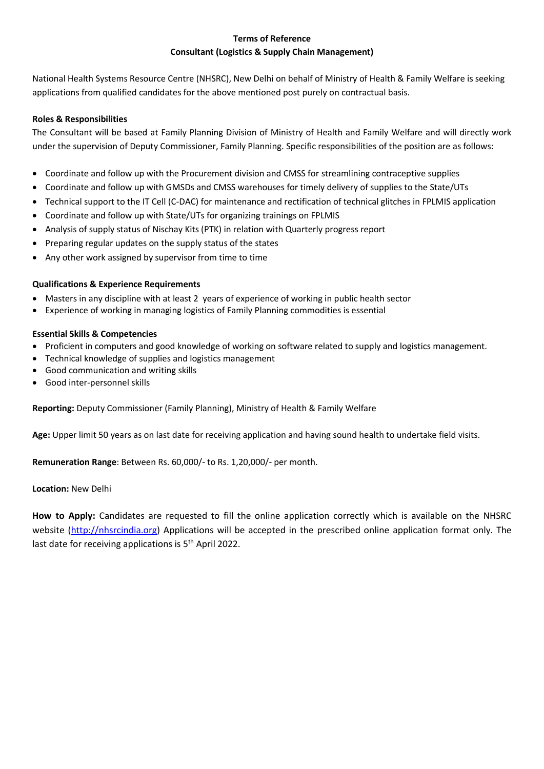### **Terms of Reference Consultant (Logistics & Supply Chain Management)**

National Health Systems Resource Centre (NHSRC), New Delhi on behalf of Ministry of Health & Family Welfare is seeking applications from qualified candidates for the above mentioned post purely on contractual basis.

#### **Roles & Responsibilities**

The Consultant will be based at Family Planning Division of Ministry of Health and Family Welfare and will directly work under the supervision of Deputy Commissioner, Family Planning. Specific responsibilities of the position are as follows:

- Coordinate and follow up with the Procurement division and CMSS for streamlining contraceptive supplies
- Coordinate and follow up with GMSDs and CMSS warehouses for timely delivery of supplies to the State/UTs
- Technical support to the IT Cell (C-DAC) for maintenance and rectification of technical glitches in FPLMIS application
- Coordinate and follow up with State/UTs for organizing trainings on FPLMIS
- Analysis of supply status of Nischay Kits (PTK) in relation with Quarterly progress report
- Preparing regular updates on the supply status of the states
- Any other work assigned by supervisor from time to time

#### **Qualifications & Experience Requirements**

- Masters in any discipline with at least 2 years of experience of working in public health sector
- Experience of working in managing logistics of Family Planning commodities is essential

#### **Essential Skills & Competencies**

- Proficient in computers and good knowledge of working on software related to supply and logistics management.
- Technical knowledge of supplies and logistics management
- Good communication and writing skills
- Good inter-personnel skills

**Reporting:** Deputy Commissioner (Family Planning), Ministry of Health & Family Welfare

**Age:** Upper limit 50 years as on last date for receiving application and having sound health to undertake field visits.

**Remuneration Range**: Between Rs. 60,000/- to Rs. 1,20,000/- per month.

#### **Location:** New Delhi

**How to Apply:** Candidates are requested to fill the online application correctly which is available on the NHSRC website [\(http://nhsrcindia.org\)](http://nhsrcindia.org/) Applications will be accepted in the prescribed online application format only. The last date for receiving applications is 5<sup>th</sup> April 2022.